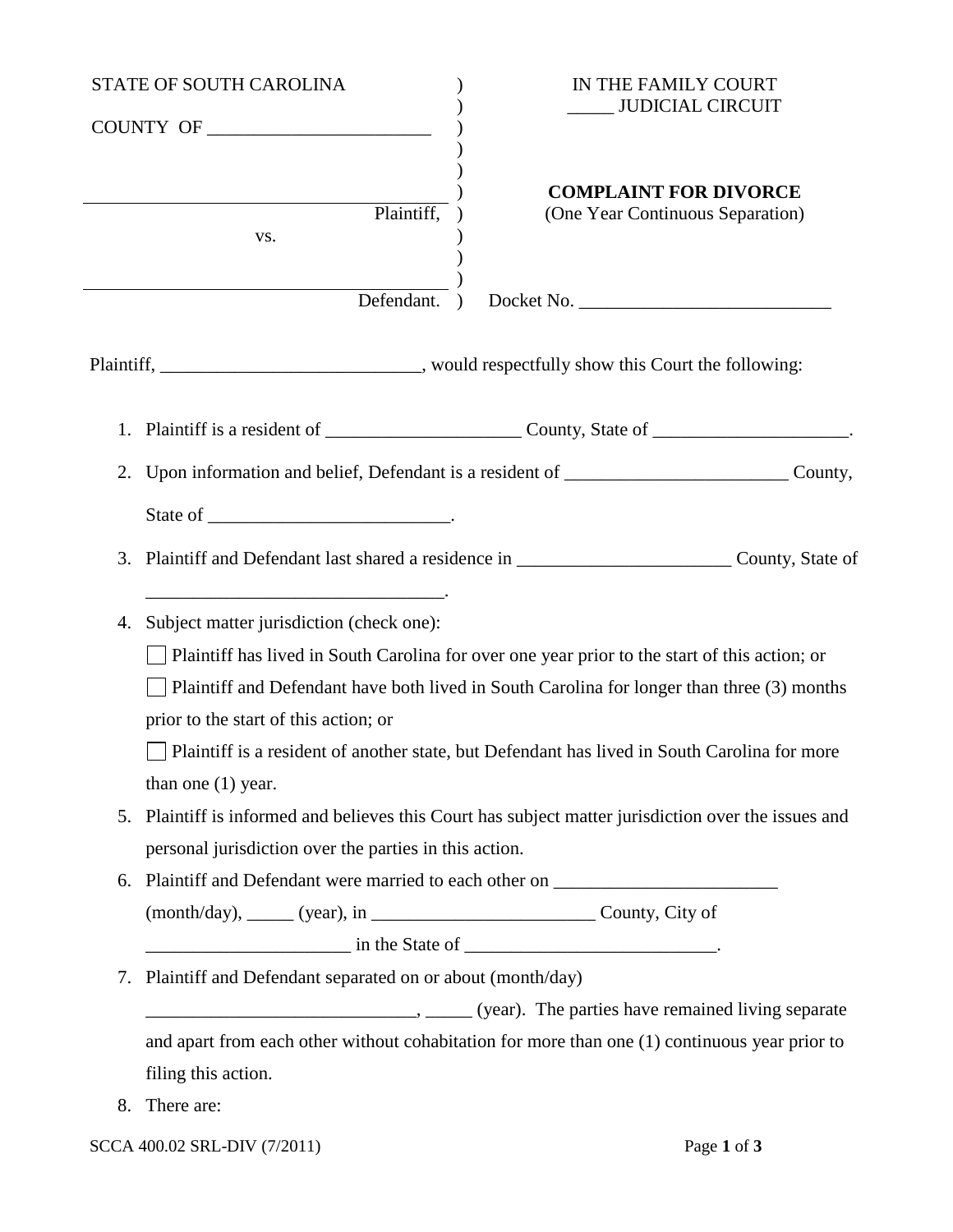| STATE OF SOUTH CAROLINA |                                                                                                                                                                                                                                                                                                                                                                                                          | IN THE FAMILY COURT                                                                            |  |
|-------------------------|----------------------------------------------------------------------------------------------------------------------------------------------------------------------------------------------------------------------------------------------------------------------------------------------------------------------------------------------------------------------------------------------------------|------------------------------------------------------------------------------------------------|--|
| COUNTY OF               |                                                                                                                                                                                                                                                                                                                                                                                                          | <b>JUDICIAL CIRCUIT</b>                                                                        |  |
|                         | Plaintiff,<br>VS.                                                                                                                                                                                                                                                                                                                                                                                        | <b>COMPLAINT FOR DIVORCE</b><br>(One Year Continuous Separation)                               |  |
|                         | Defendant.                                                                                                                                                                                                                                                                                                                                                                                               | Docket No.                                                                                     |  |
|                         |                                                                                                                                                                                                                                                                                                                                                                                                          | Plaintiff, ________________________________, would respectfully show this Court the following: |  |
|                         |                                                                                                                                                                                                                                                                                                                                                                                                          |                                                                                                |  |
| 2.                      | Upon information and belief, Defendant is a resident of _________________________County,                                                                                                                                                                                                                                                                                                                 |                                                                                                |  |
|                         |                                                                                                                                                                                                                                                                                                                                                                                                          |                                                                                                |  |
| 3.                      | Plaintiff and Defendant last shared a residence in ____________________________County, State of                                                                                                                                                                                                                                                                                                          |                                                                                                |  |
| 4.                      | Subject matter jurisdiction (check one):<br>Plaintiff has lived in South Carolina for over one year prior to the start of this action; or<br>Plaintiff and Defendant have both lived in South Carolina for longer than three (3) months<br>prior to the start of this action; or<br>Plaintiff is a resident of another state, but Defendant has lived in South Carolina for more<br>than one $(1)$ year. |                                                                                                |  |
| 5.                      | Plaintiff is informed and believes this Court has subject matter jurisdiction over the issues and<br>personal jurisdiction over the parties in this action.                                                                                                                                                                                                                                              |                                                                                                |  |
| 6.                      | Plaintiff and Defendant were married to each other on __________________________                                                                                                                                                                                                                                                                                                                         |                                                                                                |  |
|                         |                                                                                                                                                                                                                                                                                                                                                                                                          |                                                                                                |  |
|                         | $\frac{1}{2}$ in the State of $\frac{1}{2}$ .                                                                                                                                                                                                                                                                                                                                                            |                                                                                                |  |
| 7.                      | Plaintiff and Defendant separated on or about (month/day)<br>(year). The parties have remained living separate                                                                                                                                                                                                                                                                                           |                                                                                                |  |
|                         | and apart from each other without cohabitation for more than one (1) continuous year prior to                                                                                                                                                                                                                                                                                                            |                                                                                                |  |
|                         | filing this action.                                                                                                                                                                                                                                                                                                                                                                                      |                                                                                                |  |
| 8.                      | There are:                                                                                                                                                                                                                                                                                                                                                                                               |                                                                                                |  |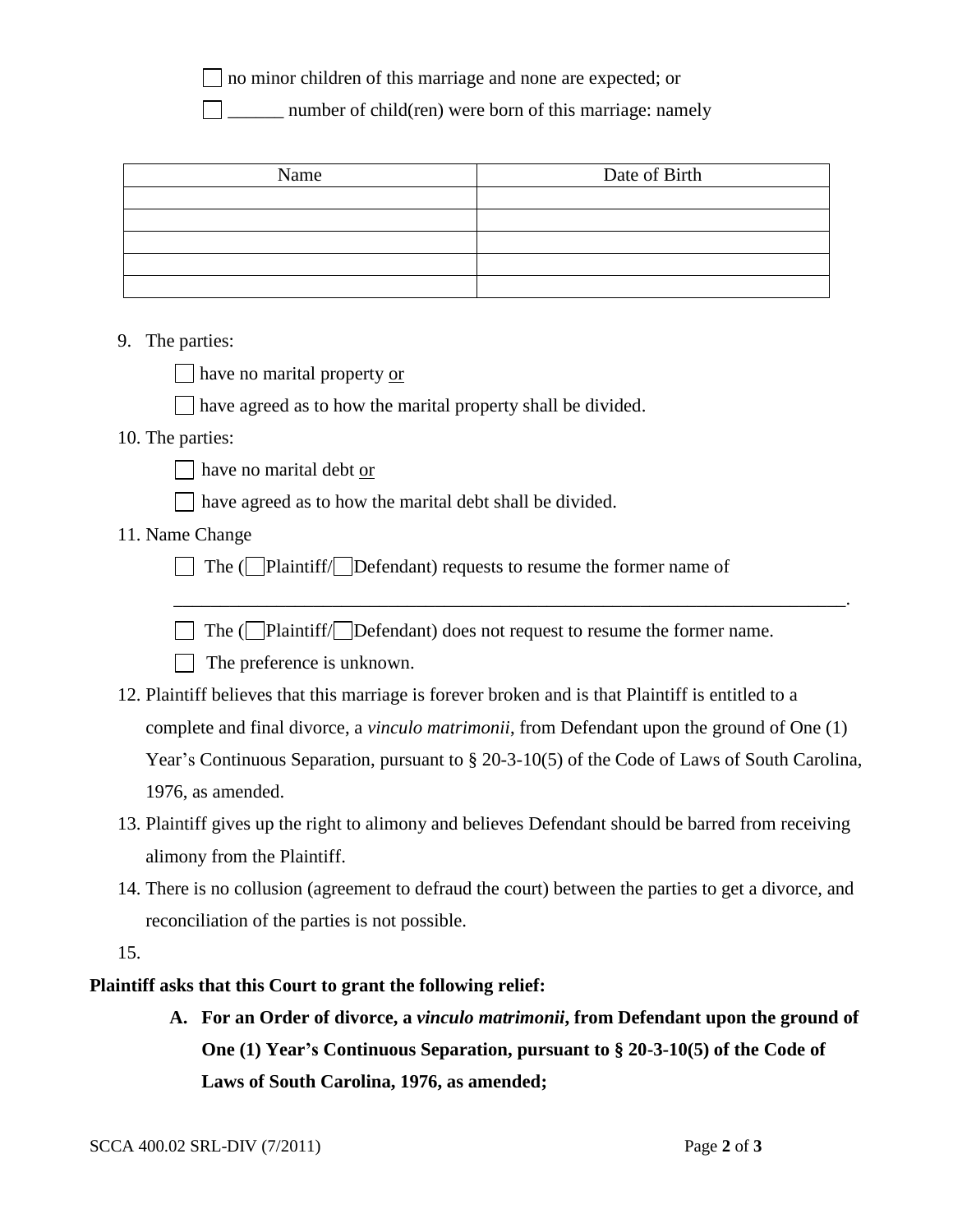no minor children of this marriage and none are expected; or

\_\_\_\_\_\_ number of child(ren) were born of this marriage: namely

| Name | Date of Birth |
|------|---------------|
|      |               |
|      |               |
|      |               |
|      |               |
|      |               |

## 9. The parties:

have no marital property or

have agreed as to how the marital property shall be divided.

## 10. The parties:

have no marital debt or

have agreed as to how the marital debt shall be divided.

## 11. Name Change

The  $\Box$  Plaintiff $\Box$  Defendant) requests to resume the former name of

 $\Box$  The ( $\Box$ Plaintiff/ $\Box$ Defendant) does not request to resume the former name.

\_\_\_\_\_\_\_\_\_\_\_\_\_\_\_\_\_\_\_\_\_\_\_\_\_\_\_\_\_\_\_\_\_\_\_\_\_\_\_\_\_\_\_\_\_\_\_\_\_\_\_\_\_\_\_\_\_\_\_\_\_\_\_\_\_\_\_\_\_\_\_\_.

The preference is unknown.

- 12. Plaintiff believes that this marriage is forever broken and is that Plaintiff is entitled to a complete and final divorce, a *vinculo matrimonii*, from Defendant upon the ground of One (1) Year's Continuous Separation, pursuant to § 20-3-10(5) of the Code of Laws of South Carolina, 1976, as amended.
- 13. Plaintiff gives up the right to alimony and believes Defendant should be barred from receiving alimony from the Plaintiff.
- 14. There is no collusion (agreement to defraud the court) between the parties to get a divorce, and reconciliation of the parties is not possible.

15.

## **Plaintiff asks that this Court to grant the following relief:**

**A. For an Order of divorce, a** *vinculo matrimonii***, from Defendant upon the ground of One (1) Year's Continuous Separation, pursuant to § 20-3-10(5) of the Code of Laws of South Carolina, 1976, as amended;**